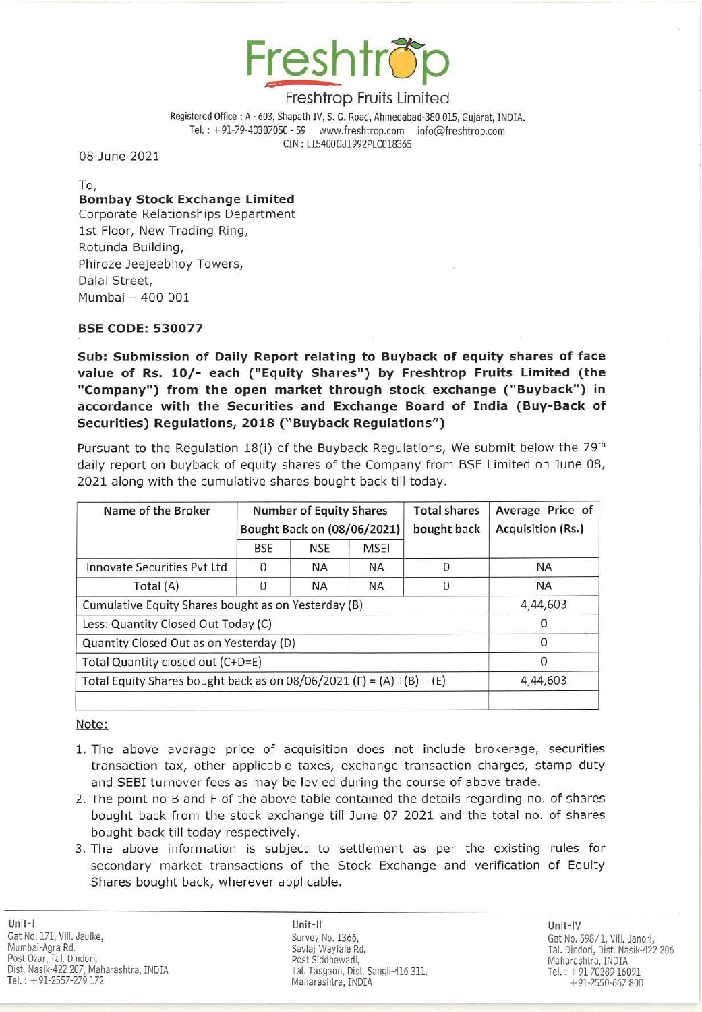

# Freshtrop Fruits Limited

Registered Office: A - 603, Shapath IV, S. G. Road, Ahmedabad-380 015, Gujarat, INDIA. Tel.: +91-79-40307050 - 59 www.freshtrop.com info@freshtrop.com CIN : 115400GJ1992PLC018365

08 June 2021

To,

### Bombay Stock Exchange limited

Corporate Relationships Department 1st Floor, New Trading Ring, Rotunda Building, Phiroze Jeejeebhoy Towers, Dalal Street, Mumbai - 400 001

### BSE CODE: 530077

Sub: Submission of Daily Report relating to Buyback of equity shares of face value of Rs. 10/- each ("Equity Shares") by Freshtrop Fruits Limited (the "Company") from the open market through stock exchange ("Buyback") in accordance with the Securities and Exchange Board of India (Buy-Back of Securities) Regulations, 2018 ("Buyback Regulations")

Pursuant to the Regulation 18(i) of the Buyback Regulations, We submit below the 79<sup>th</sup> daily report on buyback of equity shares of the Company from BSE Limited on June 08, 2021 along with the cumulative shares bought back till today.

| Name of the Broker                                                      | <b>Number of Equity Shares</b><br>Bought Back on (08/06/2021) |            |             | <b>Total shares</b><br>bought back | Average Price of<br><b>Acquisition (Rs.)</b> |
|-------------------------------------------------------------------------|---------------------------------------------------------------|------------|-------------|------------------------------------|----------------------------------------------|
|                                                                         | <b>BSE</b>                                                    | <b>NSE</b> | <b>MSEI</b> |                                    |                                              |
| Innovate Securities Pyt Ltd                                             | $\Omega$                                                      | <b>NA</b>  | <b>NA</b>   | <sup>0</sup>                       | <b>NA</b>                                    |
| Total (A)                                                               | 0                                                             | <b>NA</b>  | <b>NA</b>   | $\Omega$                           | <b>NA</b>                                    |
| Cumulative Equity Shares bought as on Yesterday (B)                     |                                                               |            |             |                                    | 4,44,603                                     |
| Less: Quantity Closed Out Today (C)                                     |                                                               |            |             |                                    |                                              |
| Quantity Closed Out as on Yesterday (D)                                 |                                                               |            |             |                                    | $\Omega$                                     |
| Total Quantity closed out (C+D=E)                                       |                                                               |            |             |                                    | 0                                            |
| Total Equity Shares bought back as on $08/06/2021$ (F) = (A) +(B) - (E) | 4,44,603                                                      |            |             |                                    |                                              |
|                                                                         |                                                               |            |             |                                    |                                              |

#### Note:

- 1. The above average price of acquisition does not include brokerage, securities transaction tax, other applicable taxes, exchange transaction charges, stamp duty and SEBI turnover fees as may be levied during the course of above trade.
- 2. The point no B and F of the above table contained the details regarding no. of shares bought back from the stock exchange till June 07 2021 and the total no. of shares bought back till today respectively.
- 3. The above information is subject to settlement as per the existing rules for secondary market transactions of the Stock Exchange and verification of Equity Shares bought back, wherever applicable.

Unit-II Unit-IV Savlaj·Wayfale Rd. Post Siddhewadi, Tal. Tasgaon, Dist. Sangli-416 311, Maharashtra, INDIA